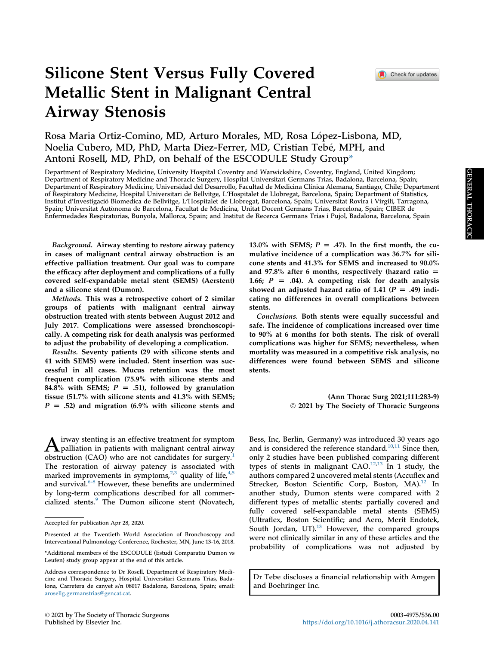# Silicone Stent Versus Fully Covered Metallic Stent in Malignant Central Airway Stenosis

Rosa Maria Ortiz-Comino, MD, Arturo Morales, MD, Rosa López-Lisbona, MD, Noelia Cubero, MD, PhD, Marta Diez-Ferrer, MD, Cristian Tebé, MPH, and Antoni Rosell, MD, PhD, on behalf of the ESCODULE Study Grou[p\\*](#page-0-0)

Department of Respiratory Medicine, University Hospital Coventry and Warwickshire, Coventry, England, United Kingdom; Department of Respiratory Medicine and Thoracic Surgery, Hospital Universitari Germans Trias, Badalona, Barcelona, Spain; Department of Respiratory Medicine, Universidad del Desarrollo, Facultad de Medicina Clínica Alemana, Santiago, Chile; Department of Respiratory Medicine, Hospital Universitari de Bellvitge, L'Hospitalet de Llobregat, Barcelona, Spain; Department of Statistics, Institut d'Investigacio Biomedica de Bellvitge, L 'Hospitalet de Llobregat, Barcelona, Spain; Universitat Rovira i Virgili, Tarragona, Spain; Universitat Autonoma de Barcelona, Facultat de Medicina, Unitat Docent Germans Trias, Barcelona, Spain; CIBER de Enfermedades Respiratorias, Bunyola, Mallorca, Spain; and Institut de Recerca Germans Trias i Pujol, Badalona, Barcelona, Spain

Background. Airway stenting to restore airway patency in cases of malignant central airway obstruction is an effective palliation treatment. Our goal was to compare the efficacy after deployment and complications of a fully covered self-expandable metal stent (SEMS) (Aerstent) and a silicone stent (Dumon).

Methods. This was a retrospective cohort of 2 similar groups of patients with malignant central airway obstruction treated with stents between August 2012 and July 2017. Complications were assessed bronchoscopically. A competing risk for death analysis was performed to adjust the probability of developing a complication.

Results. Seventy patients (29 with silicone stents and 41 with SEMS) were included. Stent insertion was successful in all cases. Mucus retention was the most frequent complication (75.9% with silicone stents and 84.8% with SEMS;  $P = .51$ , followed by granulation tissue (51.7% with silicone stents and 41.3% with SEMS;  $P = .52$ ) and migration (6.9% with silicone stents and

 $\bf{A}$  irway stenting is an effective treatment for symptom<br>palliation in patients with malignant central airway obstruction (CAO) who are not candidates for surgery. $<sup>1</sup>$ </sup> The restoration of airway patency is associated with marked improvements in symptoms,  $2,3$  $2,3$  $2,3$  quality of life,  $4,5$  $4,5$ and survival.<sup>[6-8](#page-5-5)</sup> However, these benefits are undermined by long-term complications described for all commer-cialized stents.<sup>[9](#page-5-6)</sup> The Dumon silicone stent (Novatech, 13.0% with SEMS;  $P = .47$ ). In the first month, the cumulative incidence of a complication was 36.7% for silicone stents and 41.3% for SEMS and increased to 90.0% and 97.8% after 6 months, respectively (hazard ratio  $=$ 1.66;  $P = .04$ ). A competing risk for death analysis showed an adjusted hazard ratio of 1.41 ( $P = .49$ ) indicating no differences in overall complications between stents.

Conclusions. Both stents were equally successful and safe. The incidence of complications increased over time to 90% at 6 months for both stents. The risk of overall complications was higher for SEMS; nevertheless, when mortality was measured in a competitive risk analysis, no differences were found between SEMS and silicone stents.

> (Ann Thorac Surg 2021;111:283-9) 2021 by The Society of Thoracic Surgeons

Bess, Inc, Berlin, Germany) was introduced 30 years ago and is considered the reference standard.<sup>[10,](#page-5-7)[11](#page-5-8)</sup> Since then, only 2 studies have been published comparing different types of stents in malignant  $CAO$ .<sup>[12](#page-5-9)[,13](#page-6-0)</sup> In 1 study, the authors compared 2 uncovered metal stents (Accuflex and Strecker, Boston Scientific Corp, Boston, MA $^{12}$  $^{12}$  $^{12}$  In another study, Dumon stents were compared with 2 different types of metallic stents: partially covered and fully covered self-expandable metal stents (SEMS) (Ultraflex, Boston Scientific; and Aero, Merit Endotek, South Jordan, UT<sup>13</sup> However, the compared groups were not clinically similar in any of these articles and the probability of complications was not adjusted by

Dr Tebe discloses a financial relationship with Amgen and Boehringer Inc.

Accepted for publication Apr 28, 2020.

Presented at the Twentieth World Association of Bronchoscopy and Interventional Pulmonology Conference, Rochester, MN, June 13-16, 2018.

<span id="page-0-0"></span><sup>\*</sup>Additional members of the ESCODULE (Estudi Comparatiu Dumon vs Leufen) study group appear at the end of this article.

Address correspondence to Dr Rosell, Department of Respiratory Medicine and Thoracic Surgery, Hospital Universitari Germans Trias, Badalona, Carretera de canyet s/n 08017 Badalona, Barcelona, Spain; email: [arosellg.germanstrias@gencat.cat.](mailto:arosellg.germanstrias@gencat.cat)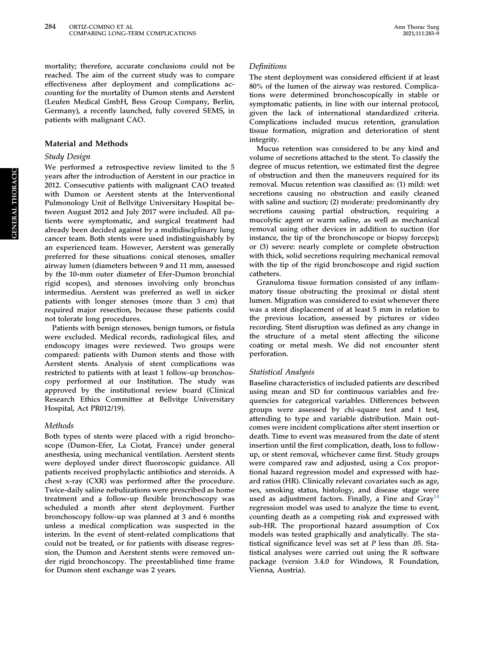mortality; therefore, accurate conclusions could not be reached. The aim of the current study was to compare effectiveness after deployment and complications accounting for the mortality of Dumon stents and Aerstent (Leufen Medical GmbH, Bess Group Company, Berlin, Germany), a recently launched, fully covered SEMS, in patients with malignant CAO.

## Material and Methods

## Study Design

We performed a retrospective review limited to the 5 years after the introduction of Aerstent in our practice in 2012. Consecutive patients with malignant CAO treated with Dumon or Aerstent stents at the Interventional Pulmonology Unit of Bellvitge Universitary Hospital between August 2012 and July 2017 were included. All patients were symptomatic, and surgical treatment had already been decided against by a multidisciplinary lung cancer team. Both stents were used indistinguishably by an experienced team. However, Aerstent was generally preferred for these situations: conical stenoses, smaller airway lumen (diameters between 9 and 11 mm, assessed by the 10-mm outer diameter of Efer-Dumon bronchial rigid scopes), and stenoses involving only bronchus intermedius. Aerstent was preferred as well in sicker patients with longer stenoses (more than 3 cm) that required major resection, because these patients could not tolerate long procedures.

Patients with benign stenoses, benign tumors, or fistula were excluded. Medical records, radiological files, and endoscopy images were reviewed. Two groups were compared: patients with Dumon stents and those with Aerstent stents. Analysis of stent complications was restricted to patients with at least 1 follow-up bronchoscopy performed at our Institution. The study was approved by the institutional review board (Clinical Research Ethics Committee at Bellvitge Universitary Hospital, Act PR012/19).

## Methods

Both types of stents were placed with a rigid bronchoscope (Dumon-Efer, La Ciotat, France) under general anesthesia, using mechanical ventilation. Aerstent stents were deployed under direct fluoroscopic guidance. All patients received prophylactic antibiotics and steroids. A chest x-ray (CXR) was performed after the procedure. Twice-daily saline nebulizations were prescribed as home treatment and a follow-up flexible bronchoscopy was scheduled a month after stent deployment. Further bronchoscopy follow-up was planned at 3 and 6 months unless a medical complication was suspected in the interim. In the event of stent-related complications that could not be treated, or for patients with disease regression, the Dumon and Aerstent stents were removed under rigid bronchoscopy. The preestablished time frame for Dumon stent exchange was 2 years.

## **Definitions**

The stent deployment was considered efficient if at least 80% of the lumen of the airway was restored. Complications were determined bronchoscopically in stable or symptomatic patients, in line with our internal protocol, given the lack of international standardized criteria. Complications included mucus retention, granulation tissue formation, migration and deterioration of stent integrity.

Mucus retention was considered to be any kind and volume of secretions attached to the stent. To classify the degree of mucus retention, we estimated first the degree of obstruction and then the maneuvers required for its removal. Mucus retention was classified as: (1) mild: wet secretions causing no obstruction and easily cleaned with saline and suction; (2) moderate: predominantly dry secretions causing partial obstruction, requiring a mucolytic agent or warm saline, as well as mechanical removal using other devices in addition to suction (for instance, the tip of the bronchoscope or biopsy forceps); or (3) severe: nearly complete or complete obstruction with thick, solid secretions requiring mechanical removal with the tip of the rigid bronchoscope and rigid suction catheters.

Granuloma tissue formation consisted of any inflammatory tissue obstructing the proximal or distal stent lumen. Migration was considered to exist whenever there was a stent displacement of at least 5 mm in relation to the previous location, assessed by pictures or video recording. Stent disruption was defined as any change in the structure of a metal stent affecting the silicone coating or metal mesh. We did not encounter stent perforation.

## Statistical Analysis

Baseline characteristics of included patients are described using mean and SD for continuous variables and frequencies for categorical variables. Differences between groups were assessed by chi-square test and t test, attending to type and variable distribution. Main outcomes were incident complications after stent insertion or death. Time to event was measured from the date of stent insertion until the first complication, death, loss to followup, or stent removal, whichever came first. Study groups were compared raw and adjusted, using a Cox proportional hazard regression model and expressed with hazard ratios (HR). Clinically relevant covariates such as age, sex, smoking status, histology, and disease stage were used as adjustment factors. Finally, a Fine and  $Gray<sup>14</sup>$ regression model was used to analyze the time to event, counting death as a competing risk and expressed with sub-HR. The proportional hazard assumption of Cox models was tested graphically and analytically. The statistical significance level was set at P less than .05. Statistical analyses were carried out using the R software package (version 3.4.0 for Windows, R Foundation, Vienna, Austria).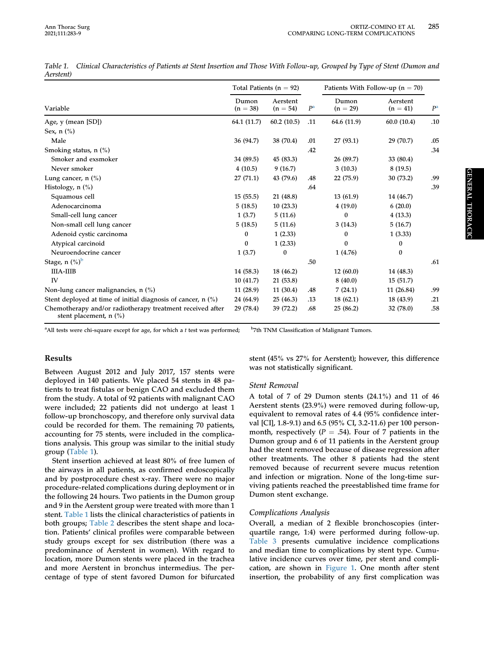<span id="page-2-0"></span>

|           | Table 1. Clinical Characteristics of Patients at Stent Insertion and Those With Follow-up, Grouped by Type of Stent (Dumon and |  |  |
|-----------|--------------------------------------------------------------------------------------------------------------------------------|--|--|
| Aerstent) |                                                                                                                                |  |  |

|                                                                                       | Total Patients ( $n = 92$ ) |                        |                | Patients With Follow-up $(n = 70)$ |                        |                |
|---------------------------------------------------------------------------------------|-----------------------------|------------------------|----------------|------------------------------------|------------------------|----------------|
| Variable                                                                              | Dumon<br>$(n = 38)$         | Aerstent<br>$(n = 54)$ | P <sup>a</sup> | Dumon<br>$(n = 29)$                | Aerstent<br>$(n = 41)$ | P <sup>a</sup> |
| Age, y (mean [SD])                                                                    | 64.1 (11.7)                 | 60.2(10.5)             | .11            | 64.6 (11.9)                        | 60.0(10.4)             | .10            |
| Sex, $n$ $\binom{0}{0}$                                                               |                             |                        |                |                                    |                        |                |
| Male                                                                                  | 36 (94.7)                   | 38 (70.4)              | .01            | 27(93.1)                           | 29 (70.7)              | .05            |
| Smoking status, n (%)                                                                 |                             |                        | .42            |                                    |                        | .34            |
| Smoker and exsmoker                                                                   | 34 (89.5)                   | 45 (83.3)              |                | 26 (89.7)                          | 33 (80.4)              |                |
| Never smoker                                                                          | 4(10.5)                     | 9(16.7)                |                | 3(10.3)                            | 8(19.5)                |                |
| Lung cancer, $n$ $\left(\frac{9}{6}\right)$                                           | 27(71.1)                    | 43 (79.6)              | .48            | 22 (75.9)                          | 30 (73.2)              | .99            |
| Histology, $n$ $(\%)$                                                                 |                             |                        | .64            |                                    |                        | .39            |
| Squamous cell                                                                         | 15(55.5)                    | 21 (48.8)              |                | 13(61.9)                           | 14 (46.7)              |                |
| Adenocarcinoma                                                                        | 5(18.5)                     | 10(23.3)               |                | 4(19.0)                            | 6(20.0)                |                |
| Small-cell lung cancer                                                                | 1(3.7)                      | 5(11.6)                |                | 0                                  | 4(13.3)                |                |
| Non-small cell lung cancer                                                            | 5(18.5)                     | 5(11.6)                |                | 3(14.3)                            | 5(16.7)                |                |
| Adenoid cystic carcinoma                                                              | $\bf{0}$                    | 1(2.33)                |                | 0                                  | 1(3.33)                |                |
| Atypical carcinoid                                                                    | $\bf{0}$                    | 1(2.33)                |                | $\theta$                           | $\bf{0}$               |                |
| Neuroendocrine cancer                                                                 | 1(3.7)                      | 0                      |                | 1(4.76)                            | $\bf{0}$               |                |
| Stage, $n$ $(\%)^b$                                                                   |                             |                        | .50            |                                    |                        | .61            |
| <b>IIIA-IIIB</b>                                                                      | 14 (58.3)                   | 18 (46.2)              |                | 12(60.0)                           | 14 (48.3)              |                |
| <b>IV</b>                                                                             | 10(41.7)                    | 21(53.8)               |                | 8(40.0)                            | 15(51.7)               |                |
| Non-lung cancer malignancies, $n$ (%)                                                 | 11(28.9)                    | 11(30.4)               | .48            | 7(24.1)                            | 11 (26.84)             | .99            |
| Stent deployed at time of initial diagnosis of cancer, n (%)                          | 24 (64.9)                   | 25(46.3)               | .13            | 18(62.1)                           | 18 (43.9)              | .21            |
| Chemotherapy and/or radiotherapy treatment received after<br>stent placement, $n$ (%) | 29 (78.4)                   | 39 (72.2)              | .68            | 25(86.2)                           | 32 (78.0)              | .58            |

<span id="page-2-1"></span><sup>a</sup>All tests were chi-square except for age, for which a  $t$  test was performed;  $b$ <sup>b</sup>7th TNM Classification of Malignant Tumors.

# Results

Between August 2012 and July 2017, 157 stents were deployed in 140 patients. We placed 54 stents in 48 patients to treat fistulas or benign CAO and excluded them from the study. A total of 92 patients with malignant CAO were included; 22 patients did not undergo at least 1 follow-up bronchoscopy, and therefore only survival data could be recorded for them. The remaining 70 patients, accounting for 75 stents, were included in the complications analysis. This group was similar to the initial study group [\(Table 1](#page-2-0)).

Stent insertion achieved at least 80% of free lumen of the airways in all patients, as confirmed endoscopically and by postprocedure chest x-ray. There were no major procedure-related complications during deployment or in the following 24 hours. Two patients in the Dumon group and 9 in the Aerstent group were treated with more than 1 stent. [Table 1](#page-2-0) lists the clinical characteristics of patients in both groups; [Table 2](#page-3-0) describes the stent shape and location. Patients' clinical profiles were comparable between study groups except for sex distribution (there was a predominance of Aerstent in women). With regard to location, more Dumon stents were placed in the trachea and more Aerstent in bronchus intermedius. The percentage of type of stent favored Dumon for bifurcated stent (45% vs 27% for Aerstent); however, this difference was not statistically significant.

# Stent Removal

A total of 7 of 29 Dumon stents (24.1%) and 11 of 46 Aerstent stents (23.9%) were removed during follow-up, equivalent to removal rates of 4.4 (95% confidence interval [CI], 1.8-9.1) and 6.5 (95% CI, 3.2-11.6) per 100 personmonth, respectively ( $P = .54$ ). Four of 7 patients in the Dumon group and 6 of 11 patients in the Aerstent group had the stent removed because of disease regression after other treatments. The other 8 patients had the stent removed because of recurrent severe mucus retention and infection or migration. None of the long-time surviving patients reached the preestablished time frame for Dumon stent exchange.

# Complications Analysis

Overall, a median of 2 flexible bronchoscopies (interquartile range, 1:4) were performed during follow-up. [Table 3](#page-4-0) presents cumulative incidence complications and median time to complications by stent type. Cumulative incidence curves over time, per stent and complication, are shown in [Figure 1](#page-4-1). One month after stent insertion, the probability of any first complication was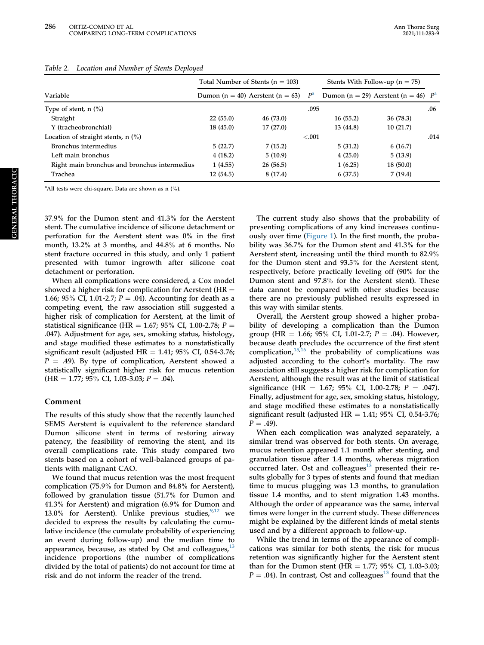|                                              | Total Number of Stents ( $n = 103$ ) |                                      |                | Stents With Follow-up $(n = 75)$ |                                        |      |
|----------------------------------------------|--------------------------------------|--------------------------------------|----------------|----------------------------------|----------------------------------------|------|
| Variable                                     |                                      | Dumon $(n = 40)$ Aerstent $(n = 63)$ | P <sup>a</sup> |                                  | Dumon (n = 29) Aerstent (n = 46) $P^a$ |      |
| Type of stent, $n$ (%)                       |                                      |                                      | .095           |                                  |                                        | .06  |
| Straight                                     | 22(55.0)                             | 46 (73.0)                            |                | 16(55.2)                         | 36 (78.3)                              |      |
| Y (tracheobronchial)                         | 18(45.0)                             | 17(27.0)                             |                | 13 (44.8)                        | 10(21.7)                               |      |
| Location of straight stents, $n$ (%)         |                                      |                                      | < 0.001        |                                  |                                        | .014 |
| Bronchus intermedius                         | 5(22.7)                              | 7(15.2)                              |                | 5(31.2)                          | 6(16.7)                                |      |
| Left main bronchus                           | 4(18.2)                              | 5(10.9)                              |                | 4(25.0)                          | 5(13.9)                                |      |
| Right main bronchus and bronchus intermedius | 1(4.55)                              | 26(56.5)                             |                | 1(6.25)                          | 18(50.0)                               |      |
| Trachea                                      | 12(54.5)                             | 8(17.4)                              |                | 6(37.5)                          | 7(19.4)                                |      |

### <span id="page-3-0"></span>Table 2. Location and Number of Stents Deployed

<span id="page-3-1"></span><sup>a</sup> All tests were chi-square. Data are shown as n (%).

37.9% for the Dumon stent and 41.3% for the Aerstent stent. The cumulative incidence of silicone detachment or perforation for the Aerstent stent was 0% in the first month, 13.2% at 3 months, and 44.8% at 6 months. No stent fracture occurred in this study, and only 1 patient presented with tumor ingrowth after silicone coat detachment or perforation.

When all complications were considered, a Cox model showed a higher risk for complication for Aerstent ( $HR =$ 1.66; 95% CI, 1.01-2.7;  $P = .04$ ). Accounting for death as a competing event, the raw association still suggested a higher risk of complication for Aerstent, at the limit of statistical significance (HR = 1.67; 95% CI, 1.00-2.78;  $P =$ .047). Adjustment for age, sex, smoking status, histology, and stage modified these estimates to a nonstatistically significant result (adjusted HR = 1.41;  $95\%$  CI, 0.54-3.76;  $P = .49$ ). By type of complication, Aerstent showed a statistically significant higher risk for mucus retention  $(HR = 1.77; 95\% \text{ CI}, 1.03-3.03; P = .04).$ 

## Comment

The results of this study show that the recently launched SEMS Aerstent is equivalent to the reference standard Dumon silicone stent in terms of restoring airway patency, the feasibility of removing the stent, and its overall complications rate. This study compared two stents based on a cohort of well-balanced groups of patients with malignant CAO.

We found that mucus retention was the most frequent complication (75.9% for Dumon and 84.8% for Aerstent), followed by granulation tissue (51.7% for Dumon and 41.3% for Aerstent) and migration (6.9% for Dumon and 13.0% for Aerstent). Unlike previous studies, we decided to express the results by calculating the cumulative incidence (the cumulate probability of experiencing an event during follow-up) and the median time to appearance, because, as stated by Ost and colleagues,  $13$ incidence proportions (the number of complications divided by the total of patients) do not account for time at risk and do not inform the reader of the trend.

The current study also shows that the probability of presenting complications of any kind increases continuously over time ([Figure 1](#page-4-1)). In the first month, the probability was 36.7% for the Dumon stent and 41.3% for the Aerstent stent, increasing until the third month to 82.9% for the Dumon stent and 93.5% for the Aerstent stent, respectively, before practically leveling off (90% for the Dumon stent and 97.8% for the Aerstent stent). These data cannot be compared with other studies because there are no previously published results expressed in this way with similar stents.

Overall, the Aerstent group showed a higher probability of developing a complication than the Dumon group (HR = 1.66; 95% CI, 1.01-2.7;  $P = .04$ ). However, because death precludes the occurrence of the first stent complication, $15,16$  $15,16$  $15,16$  the probability of complications was adjusted according to the cohort's mortality. The raw association still suggests a higher risk for complication for Aerstent, although the result was at the limit of statistical significance (HR = 1.67; 95% CI, 1.00-2.78;  $P = .047$ ). Finally, adjustment for age, sex, smoking status, histology, and stage modified these estimates to a nonstatistically significant result (adjusted HR =  $1.41$ ; 95% CI, 0.54-3.76;  $P = .49$ ).

When each complication was analyzed separately, a similar trend was observed for both stents. On average, mucus retention appeared 1.1 month after stenting, and granulation tissue after 1.4 months, whereas migration  $\overline{\text{occurred}}$  later. Ost and colleagues<sup>[13](#page-6-0)</sup> presented their results globally for 3 types of stents and found that median time to mucus plugging was 1.3 months, to granulation tissue 1.4 months, and to stent migration 1.43 months. Although the order of appearance was the same, interval times were longer in the current study. These differences might be explained by the different kinds of metal stents used and by a different approach to follow-up.

While the trend in terms of the appearance of complications was similar for both stents, the risk for mucus retention was significantly higher for the Aerstent stent than for the Dumon stent (HR =  $1.77$ ;  $95\%$  CI,  $1.03-3.03$ ;  $P = .04$ ). In contrast, Ost and colleagues<sup>[13](#page-6-0)</sup> found that the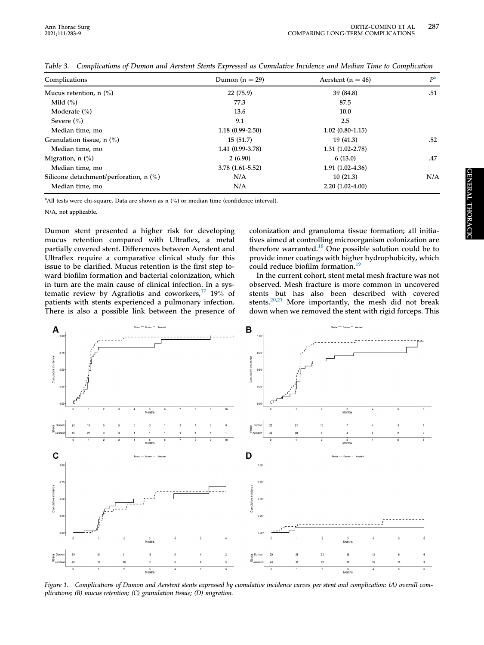| Complications                                      | Dumon $(n = 29)$    | Aerstent ( $n = 46$ ) | P <sup>a</sup> |
|----------------------------------------------------|---------------------|-----------------------|----------------|
| Mucus retention, $n$ $\binom{0}{0}$                | 22(75.9)            | 39 (84.8)             | .51            |
| Mild $(\% )$                                       | 77.3                | 87.5                  |                |
| Moderate $(\% )$                                   | 13.6                | 10.0                  |                |
| Severe $(\% )$                                     | 9.1                 | 2.5                   |                |
| Median time, mo                                    | $1.18(0.99 - 2.50)$ | $1.02(0.80-1.15)$     |                |
| Granulation tissue, $n$ $\left(\frac{9}{6}\right)$ | 15(51.7)            | 19(41.3)              | .52            |
| Median time, mo                                    | $1.41(0.99-3.78)$   | $1.31(1.02 - 2.78)$   |                |
| Migration, $n$ $\left(\frac{9}{6}\right)$          | 2(6.90)             | 6(13.0)               | .47            |
| Median time, mo                                    | $3.78(1.61 - 5.52)$ | $1.91(1.02-4.36)$     |                |
| Silicone detachment/perforation, $n$ (%)           | N/A                 | 10(21.3)              | N/A            |
| Median time, mo                                    | N/A                 | $2.20(1.02-4.00)$     |                |

<span id="page-4-0"></span>Table 3. Complications of Dumon and Aerstent Stents Expressed as Cumulative Incidence and Median Time to Complication

<span id="page-4-2"></span><sup>a</sup> All tests were chi-square. Data are shown as n (%) or median time (confidence interval).

N/A, not applicable.

Dumon stent presented a higher risk for developing mucus retention compared with Ultraflex, a metal partially covered stent. Differences between Aerstent and Ultraflex require a comparative clinical study for this issue to be clarified. Mucus retention is the first step toward biofilm formation and bacterial colonization, which in turn are the main cause of clinical infection. In a systematic review by Agrafiotis and coworkers, $17$  19% of patients with stents experienced a pulmonary infection. There is also a possible link between the presence of colonization and granuloma tissue formation; all initiatives aimed at controlling microorganism colonization are therefore warranted.<sup>[18](#page-6-5)</sup> One possible solution could be to provide inner coatings with higher hydrophobicity, which could reduce biofilm formation.<sup>[19](#page-6-6)</sup>

In the current cohort, stent metal mesh fracture was not observed. Mesh fracture is more common in uncovered stents but has also been described with covered stents.<sup>[20,](#page-6-7)[21](#page-6-8)</sup> More importantly, the mesh did not break down when we removed the stent with rigid forceps. This

<span id="page-4-1"></span>

Figure 1. Complications of Dumon and Aerstent stents expressed by cumulative incidence curves per stent and complication: (A) overall complications; (B) mucus retention; (C) granulation tissue; (D) migration.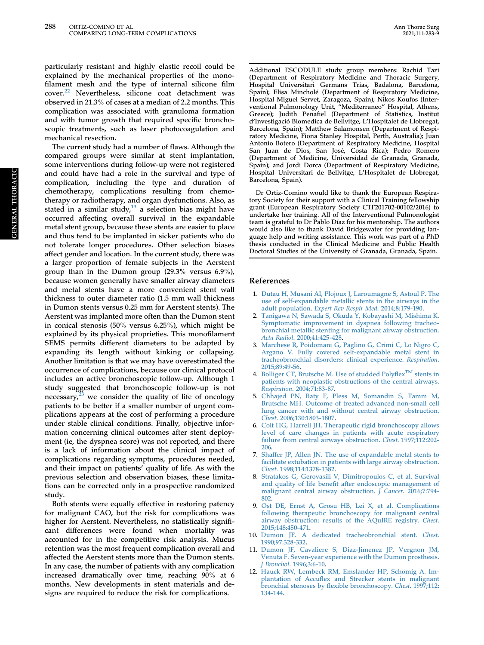particularly resistant and highly elastic recoil could be explained by the mechanical properties of the monofilament mesh and the type of internal silicone film cover.[22](#page-6-9) Nevertheless, silicone coat detachment was observed in 21.3% of cases at a median of 2.2 months. This complication was associated with granuloma formation and with tumor growth that required specific bronchoscopic treatments, such as laser photocoagulation and mechanical resection.

The current study had a number of flaws. Although the compared groups were similar at stent implantation, some interventions during follow-up were not registered and could have had a role in the survival and type of complication, including the type and duration of chemotherapy, complications resulting from chemotherapy or radiotherapy, and organ dysfunctions. Also, as stated in a similar study, $13$  a selection bias might have occurred affecting overall survival in the expandable metal stent group, because these stents are easier to place and thus tend to be implanted in sicker patients who do not tolerate longer procedures. Other selection biases affect gender and location. In the current study, there was a larger proportion of female subjects in the Aerstent group than in the Dumon group (29.3% versus 6.9%), because women generally have smaller airway diameters and metal stents have a more convenient stent wall thickness to outer diameter ratio (1.5 mm wall thickness in Dumon stents versus 0.25 mm for Aerstent stents). The Aerstent was implanted more often than the Dumon stent in conical stenosis (50% versus 6.25%), which might be explained by its physical proprieties. This monofilament SEMS permits different diameters to be adapted by expanding its length without kinking or collapsing. Another limitation is that we may have overestimated the occurrence of complications, because our clinical protocol includes an active bronchoscopic follow-up. Although 1 study suggested that bronchoscopic follow-up is not necessary, $23$  we consider the quality of life of oncology patients to be better if a smaller number of urgent complications appears at the cost of performing a procedure under stable clinical conditions. Finally, objective information concerning clinical outcomes after stent deployment (ie, the dyspnea score) was not reported, and there is a lack of information about the clinical impact of complications regarding symptoms, procedures needed, and their impact on patients' quality of life. As with the previous selection and observation biases, these limitations can be corrected only in a prospective randomized study.

Both stents were equally effective in restoring patency for malignant CAO, but the risk for complications was higher for Aerstent. Nevertheless, no statistically significant differences were found when mortality was accounted for in the competitive risk analysis. Mucus retention was the most frequent complication overall and affected the Aerstent stents more than the Dumon stents. In any case, the number of patients with any complication increased dramatically over time, reaching 90% at 6 months. New developments in stent materials and designs are required to reduce the risk for complications.

Additional ESCODULE study group members: Rachid Tazi (Department of Respiratory Medicine and Thoracic Surgery, Hospital Universitari Germans Trias, Badalona, Barcelona, Spain); Elisa Minchole (Department of Respiratory Medicine, Hospital Miguel Servet, Zaragoza, Spain); Nikos Koufos (Interventional Pulmonology Unit, "Mediterraneo" Hospital, Athens, Greece); Judith Penafiel (Department of Statistics, Institut d'Investigació Biomedica de Bellvitge, L'Hospitalet de Llobregat, Barcelona, Spain); Matthew Salamonsen (Department of Respiratory Medicine, Fiona Stanley Hospital, Perth, Australia); Juan Antonio Botero (Department of Respiratory Medicine, Hospital San Juan de Dios, San Jose, Costa Rica); Pedro Romero (Department of Medicine, Universidad de Granada, Granada, Spain); and Jordi Dorca (Department of Respiratory Medicine, Hospital Universitari de Bellvitge, L'Hospitalet de Llobregat, Barcelona, Spain).

Dr Ortiz-Comino would like to thank the European Respiratory Society for their support with a Clinical Training fellowship grant (European Respiratory Society CTF201702-00102/2016) to undertake her training. All of the Interventional Pulmonologist team is grateful to Dr Pablo Díaz for his mentorship. The authors would also like to thank David Bridgewater for providing language help and writing assistance. This work was part of a PhD thesis conducted in the Clinical Medicine and Public Health Doctoral Studies of the University of Granada, Granada, Spain.

#### References

- <span id="page-5-0"></span>1. [Dutau H, Musani AI, Plojoux J, Laroumagne S, Astoul P. The](http://refhub.elsevier.com/S0003-4975(20)30963-2/sref1) [use of self-expandable metallic stents in the airways in the](http://refhub.elsevier.com/S0003-4975(20)30963-2/sref1) adult population. [Expert Rev Respir Med](http://refhub.elsevier.com/S0003-4975(20)30963-2/sref1). 2014;8:179-190.
- <span id="page-5-1"></span>2. [Tanigawa N, Sawada S, Okuda Y, Kobayashi M, Mishima K.](http://refhub.elsevier.com/S0003-4975(20)30963-2/sref2) [Symptomatic improvement in dyspnea following tracheo](http://refhub.elsevier.com/S0003-4975(20)30963-2/sref2)[bronchial metallic stenting for malignant airway obstruction.](http://refhub.elsevier.com/S0003-4975(20)30963-2/sref2) Acta Radiol[. 2000;41:425-428](http://refhub.elsevier.com/S0003-4975(20)30963-2/sref2).
- <span id="page-5-2"></span>3. [Marchese R, Poidomani G, Paglino G, Crimi C, Lo Nigro C,](http://refhub.elsevier.com/S0003-4975(20)30963-2/sref3) [Argano V. Fully covered self-expandable metal stent in](http://refhub.elsevier.com/S0003-4975(20)30963-2/sref3) [tracheobronchial disorders: clinical experience.](http://refhub.elsevier.com/S0003-4975(20)30963-2/sref3) Respiration. [2015;89:49-56.](http://refhub.elsevier.com/S0003-4975(20)30963-2/sref3)
- <span id="page-5-3"></span>4. [Bolliger](http://refhub.elsevier.com/S0003-4975(20)30963-2/sref4) [CT,](http://refhub.elsevier.com/S0003-4975(20)30963-2/sref4) [Brutsche](http://refhub.elsevier.com/S0003-4975(20)30963-2/sref4) [M.](http://refhub.elsevier.com/S0003-4975(20)30963-2/sref4) [Use](http://refhub.elsevier.com/S0003-4975(20)30963-2/sref4) [of](http://refhub.elsevier.com/S0003-4975(20)30963-2/sref4) [studded](http://refhub.elsevier.com/S0003-4975(20)30963-2/sref4) [Poly](http://refhub.elsevier.com/S0003-4975(20)30963-2/sref4)flex<sup>TM</sup> [stents in](http://refhub.elsevier.com/S0003-4975(20)30963-2/sref4) [patients with neoplastic obstructions of the central airways.](http://refhub.elsevier.com/S0003-4975(20)30963-2/sref4) Respiration[. 2004;71:83-87.](http://refhub.elsevier.com/S0003-4975(20)30963-2/sref4)
- <span id="page-5-4"></span>5. [Chhajed PN, Baty F, Pless M, Somandin S, Tamm M,](http://refhub.elsevier.com/S0003-4975(20)30963-2/sref5) [Brutsche MH. Outcome of treated advanced non-small cell](http://refhub.elsevier.com/S0003-4975(20)30963-2/sref5) [lung cancer with and without central airway obstruction.](http://refhub.elsevier.com/S0003-4975(20)30963-2/sref5) Chest[. 2006;130:1803-1807](http://refhub.elsevier.com/S0003-4975(20)30963-2/sref5).
- <span id="page-5-5"></span>6. [Colt HG, Harrell JH. Therapeutic rigid bronchoscopy allows](http://refhub.elsevier.com/S0003-4975(20)30963-2/sref6) [level of care changes in patients with acute respiratory](http://refhub.elsevier.com/S0003-4975(20)30963-2/sref6) [failure from central airways obstruction.](http://refhub.elsevier.com/S0003-4975(20)30963-2/sref6) Chest. 1997;112:202- [206.](http://refhub.elsevier.com/S0003-4975(20)30963-2/sref6)
- 7. [Shaffer JP, Allen JN. The use of expandable metal stents to](http://refhub.elsevier.com/S0003-4975(20)30963-2/sref7) [facilitate extubation in patients with large airway obstruction.](http://refhub.elsevier.com/S0003-4975(20)30963-2/sref7) Chest[. 1998;114:1378-1382](http://refhub.elsevier.com/S0003-4975(20)30963-2/sref7).
- 8. [Stratakos G, Gerovasili V, Dimitropoulos C, et al. Survival](http://refhub.elsevier.com/S0003-4975(20)30963-2/sref8) and quality of life benefi[t after endoscopic management of](http://refhub.elsevier.com/S0003-4975(20)30963-2/sref8) [malignant central airway obstruction.](http://refhub.elsevier.com/S0003-4975(20)30963-2/sref8) J Cancer. 2016;7:794- [802.](http://refhub.elsevier.com/S0003-4975(20)30963-2/sref8)
- <span id="page-5-6"></span>9. [Ost DE, Ernst A, Grosu HB, Lei X, et al. Complications](http://refhub.elsevier.com/S0003-4975(20)30963-2/sref9) [following therapeutic bronchoscopy for malignant central](http://refhub.elsevier.com/S0003-4975(20)30963-2/sref9) [airway obstruction: results of the AQuIRE registry.](http://refhub.elsevier.com/S0003-4975(20)30963-2/sref9) Chest. [2015;148:450-471.](http://refhub.elsevier.com/S0003-4975(20)30963-2/sref9)
- <span id="page-5-7"></span>10. [Dumon JF. A dedicated tracheobronchial stent.](http://refhub.elsevier.com/S0003-4975(20)30963-2/sref10) Chest. [1990;97:328-332](http://refhub.elsevier.com/S0003-4975(20)30963-2/sref10).
- <span id="page-5-8"></span>11. [Dumon JF, Cavaliere S, Diaz-Jimenez JP, Vergnon JM,](http://refhub.elsevier.com/S0003-4975(20)30963-2/sref11) [Venuta F. Seven-year experience with the Dumon prosthesis.](http://refhub.elsevier.com/S0003-4975(20)30963-2/sref11) J Bronchol[. 1996;3:6-10](http://refhub.elsevier.com/S0003-4975(20)30963-2/sref11).
- <span id="page-5-9"></span>12. Hauck RW, Lembeck RM, Emslander HP, Schömig A. Implantation of Accufl[ex and Strecker stents in malignant](http://refhub.elsevier.com/S0003-4975(20)30963-2/sref12) [bronchial stenoses by](http://refhub.elsevier.com/S0003-4975(20)30963-2/sref12) flexible bronchoscopy. Chest. 1997;112: [134-144](http://refhub.elsevier.com/S0003-4975(20)30963-2/sref12).